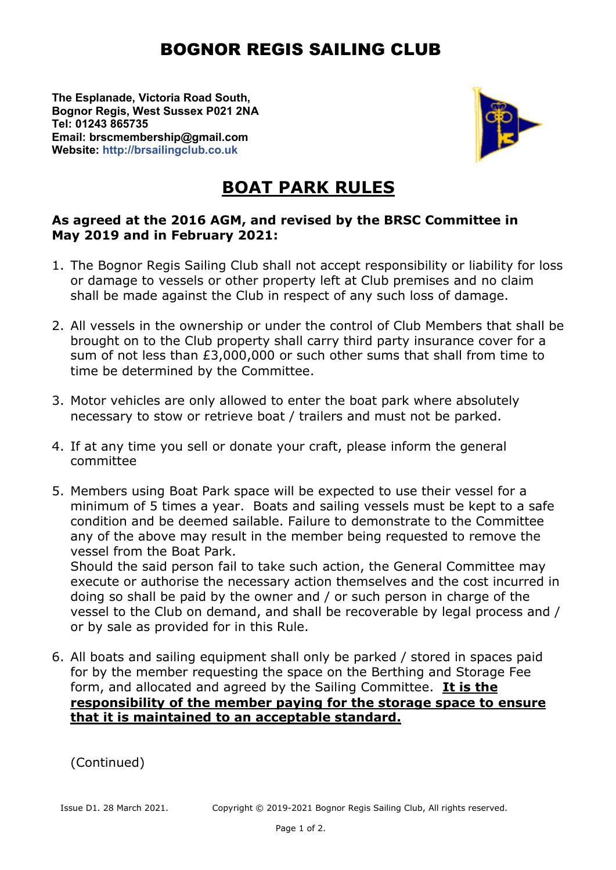## BOGNOR REGIS SAILING CLUB

**The Esplanade, Victoria Road South, Bognor Regis, West Sussex P021 2NA Tel: 01243 865735 Email: brscmembership@gmail.com Website: http://brsailingclub.co.uk**



## **BOAT PARK RULES**

## **As agreed at the 2016 AGM, and revised by the BRSC Committee in May 2019 and in February 2021:**

- 1. The Bognor Regis Sailing Club shall not accept responsibility or liability for loss or damage to vessels or other property left at Club premises and no claim shall be made against the Club in respect of any such loss of damage.
- 2. All vessels in the ownership or under the control of Club Members that shall be brought on to the Club property shall carry third party insurance cover for a sum of not less than £3,000,000 or such other sums that shall from time to time be determined by the Committee.
- 3. Motor vehicles are only allowed to enter the boat park where absolutely necessary to stow or retrieve boat / trailers and must not be parked.
- 4. If at any time you sell or donate your craft, please inform the general committee
- 5. Members using Boat Park space will be expected to use their vessel for a minimum of 5 times a year. Boats and sailing vessels must be kept to a safe condition and be deemed sailable. Failure to demonstrate to the Committee any of the above may result in the member being requested to remove the vessel from the Boat Park.

Should the said person fail to take such action, the General Committee may execute or authorise the necessary action themselves and the cost incurred in doing so shall be paid by the owner and / or such person in charge of the vessel to the Club on demand, and shall be recoverable by legal process and / or by sale as provided for in this Rule.

6. All boats and sailing equipment shall only be parked / stored in spaces paid for by the member requesting the space on the Berthing and Storage Fee form, and allocated and agreed by the Sailing Committee. **It is the responsibility of the member paying for the storage space to ensure that it is maintained to an acceptable standard.**

(Continued)